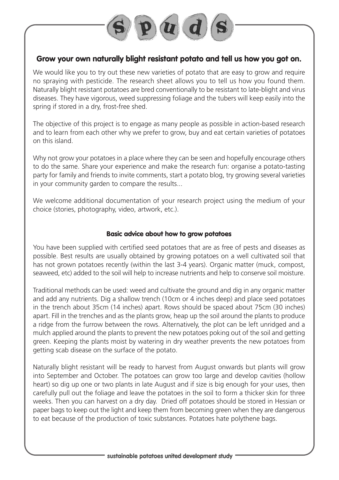

## **Grow your own naturally blight resistant potato and tell us how you got on.**

We would like you to try out these new varieties of potato that are easy to grow and require no spraying with pesticide. The research sheet allows you to tell us how you found them. Naturally blight resistant potatoes are bred conventionally to be resistant to late-blight and virus diseases. They have vigorous, weed suppressing foliage and the tubers will keep easily into the spring if stored in a dry, frost-free shed.

The objective of this project is to engage as many people as possible in action-based research and to learn from each other why we prefer to grow, buy and eat certain varieties of potatoes on this island.

Why not grow your potatoes in a place where they can be seen and hopefully encourage others to do the same. Share your experience and make the research fun: organise a potato-tasting party for family and friends to invite comments, start a potato blog, try growing several varieties in your community garden to compare the results...

We welcome additional documentation of your research project using the medium of your choice (stories, photography, video, artwork, etc.).

## **Basic advice about how to grow potatoes**

You have been supplied with certified seed potatoes that are as free of pests and diseases as possible. Best results are usually obtained by growing potatoes on a well cultivated soil that has not grown potatoes recently (within the last 3-4 years). Organic matter (muck, compost, seaweed, etc) added to the soil will help to increase nutrients and help to conserve soil moisture.

Traditional methods can be used: weed and cultivate the ground and dig in any organic matter and add any nutrients. Dig a shallow trench (10cm or 4 inches deep) and place seed potatoes in the trench about 35cm (14 inches) apart. Rows should be spaced about 75cm (30 inches) apart. Fill in the trenches and as the plants grow, heap up the soil around the plants to produce a ridge from the furrow between the rows. Alternatively, the plot can be left unridged and a mulch applied around the plants to prevent the new potatoes poking out of the soil and getting green. Keeping the plants moist by watering in dry weather prevents the new potatoes from getting scab disease on the surface of the potato.

Naturally blight resistant will be ready to harvest from August onwards but plants will grow into September and October. The potatoes can grow too large and develop cavities (hollow heart) so dig up one or two plants in late August and if size is big enough for your uses, then carefully pull out the foliage and leave the potatoes in the soil to form a thicker skin for three weeks. Then you can harvest on a dry day. Dried off potatoes should be stored in Hessian or paper bags to keep out the light and keep them from becoming green when they are dangerous to eat because of the production of toxic substances. Potatoes hate polythene bags.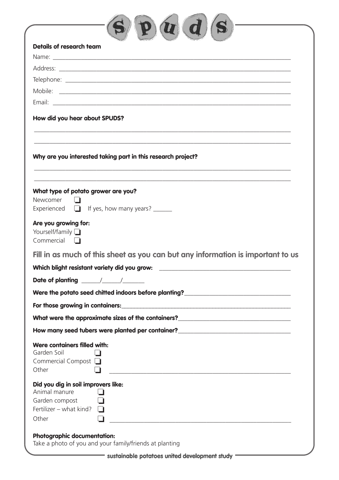| Details of research team                                                                                                                                                       |
|--------------------------------------------------------------------------------------------------------------------------------------------------------------------------------|
|                                                                                                                                                                                |
|                                                                                                                                                                                |
|                                                                                                                                                                                |
|                                                                                                                                                                                |
|                                                                                                                                                                                |
| How did you hear about SPUDS?                                                                                                                                                  |
| Why are you interested taking part in this research project?                                                                                                                   |
| What type of potato grower are you?<br>Newcomer<br>Experienced $\Box$ If yes, how many years? $\Box$                                                                           |
| Are you growing for:<br>Yourself/family <b>D</b><br>Commercial                                                                                                                 |
| Fill in as much of this sheet as you can but any information is important to us                                                                                                |
| Which blight resistant variety did you grow: ___________________________________                                                                                               |
|                                                                                                                                                                                |
| Were the potato seed chitted indoors before planting?___________________________                                                                                               |
|                                                                                                                                                                                |
| What were the approximate sizes of the containers?______________________________                                                                                               |
| How many seed tubers were planted per container?________________________________                                                                                               |
| Were containers filled with:<br>Garden Soil<br>Commercial Compost<br>Other                                                                                                     |
| Did you dig in soil improvers like:<br>Animal manure<br>H<br>Garden compost<br>Fertilizer – what kind?<br>Other<br><u> 1980 - Andrea Andrews, amerikansk politik (d. 1980)</u> |
| <b>Photographic documentation:</b>                                                                                                                                             |

Take a photo of you and your family/friends at planting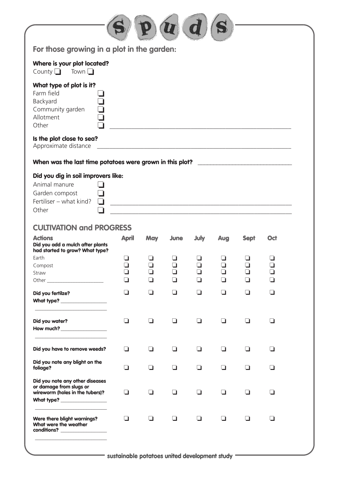| For those growing in a plot in the garden:                                                                                   |                              |            |                |                                         |                  |             |     |
|------------------------------------------------------------------------------------------------------------------------------|------------------------------|------------|----------------|-----------------------------------------|------------------|-------------|-----|
| Where is your plot located?<br>County $\Box$ Town $\Box$                                                                     |                              |            |                |                                         |                  |             |     |
| What type of plot is it?<br>Farm field<br>Backyard<br>Community garden<br>Allotment<br>Other                                 |                              |            |                |                                         |                  |             |     |
| Is the plot close to sea?<br>Approximate distance                                                                            |                              |            |                |                                         |                  |             |     |
| When was the last time potatoes were grown in this plot? ________________________                                            |                              |            |                |                                         |                  |             |     |
| Did you dig in soil improvers like:<br>Animal manure<br>Garden compost<br>Fertiliser - what kind?<br>٦<br>Other              |                              |            |                |                                         |                  |             |     |
| <b>CULTIVATION and PROGRESS</b>                                                                                              |                              |            |                |                                         |                  |             |     |
| <b>Actions</b><br>Did you add a mulch after plants<br>had started to grow? What type?                                        | <b>April</b>                 | <b>May</b> | <b>June</b>    | July                                    | <b>Aug</b>       | <b>Sept</b> | Oct |
| Earth<br>Compost<br>Straw                                                                                                    | ❏<br>$\Box$<br>$\Box$<br>l 1 |            | $\Box$         | ❏<br>$\Box$<br>ב<br>$\mathbf \mathbf I$ | $\Box$<br>❏<br>⊔ | ❏<br>n      |     |
| Did you fertilze?<br>What type? ________________                                                                             | $\Box$                       | ப          | $\Box$         | □                                       | $\Box$           | $\Box$      | П   |
| Did you water?                                                                                                               | $\Box$                       | ப          | $\blacksquare$ | l I                                     | ப                | ப           |     |
| Did you have to remove weeds?                                                                                                | $\Box$                       | $\Box$     | □              | ◘                                       | $\Box$           | $\Box$      | l I |
| Did you note any blight on the<br>foliage?                                                                                   | $\Box$                       | □          | n              | П                                       | □                | □           | n   |
| Did you note any other diseases<br>or damage from slugs or<br>wireworm (holes in the tubers)?<br>What type? ________________ | ❏                            | ப          | $\blacksquare$ | l I                                     | $\Box$           | l I         |     |
| Were there blight warnings?<br>What were the weather<br>conditions? __________________                                       | ❏                            | ப          | ப              | ப                                       | $\Box$           | ◘           | l 1 |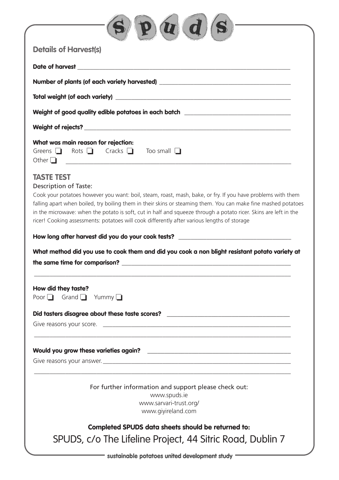| <b>Details of Harvest(s)</b>                      |                                                                                                                                                                                                                                                                                                                                                                                                                                                  |
|---------------------------------------------------|--------------------------------------------------------------------------------------------------------------------------------------------------------------------------------------------------------------------------------------------------------------------------------------------------------------------------------------------------------------------------------------------------------------------------------------------------|
|                                                   |                                                                                                                                                                                                                                                                                                                                                                                                                                                  |
|                                                   | Number of plants (of each variety harvested) ___________________________________                                                                                                                                                                                                                                                                                                                                                                 |
|                                                   |                                                                                                                                                                                                                                                                                                                                                                                                                                                  |
|                                                   | Weight of good quality edible potatoes in each batch ___________________________                                                                                                                                                                                                                                                                                                                                                                 |
|                                                   | Weight of rejects?<br><u> Weight of rejects?</u>                                                                                                                                                                                                                                                                                                                                                                                                 |
| Other $\Box$                                      | What was main reason for rejection:<br>Greens $\Box$ Rots $\Box$ Cracks $\Box$ Too small $\Box$<br><u> 1980 - Johann John Stone, markin amerikan basar dan berkembang di banyak di banyak di banyak di banyak di bany</u>                                                                                                                                                                                                                        |
| <b>TASTE TEST</b><br><b>Description of Taste:</b> | Cook your potatoes however you want: boil, steam, roast, mash, bake, or fry. If you have problems with them<br>falling apart when boiled, try boiling them in their skins or steaming them. You can make fine mashed potatoes<br>in the microwave: when the potato is soft, cut in half and squeeze through a potato ricer. Skins are left in the<br>ricer! Cooking assessments: potatoes will cook differently after various lengths of storage |
|                                                   | How long after harvest did you do your cook tests? ______________________________                                                                                                                                                                                                                                                                                                                                                                |
|                                                   | What method did you use to cook them and did you cook a non blight resistant potato variety at                                                                                                                                                                                                                                                                                                                                                   |
| How did they taste?                               | Poor $\Box$ Grand $\Box$ Yummy $\Box$                                                                                                                                                                                                                                                                                                                                                                                                            |
|                                                   | Did tasters disagree about these taste scores? Did taster and the control of the control of the control of the control of the control of the control of the control of the control of the control of the control of the contro                                                                                                                                                                                                                   |
|                                                   |                                                                                                                                                                                                                                                                                                                                                                                                                                                  |
|                                                   |                                                                                                                                                                                                                                                                                                                                                                                                                                                  |
|                                                   |                                                                                                                                                                                                                                                                                                                                                                                                                                                  |
|                                                   | For further information and support please check out:<br>www.spuds.ie<br>www.sarvari-trust.org/                                                                                                                                                                                                                                                                                                                                                  |
|                                                   | www.giyireland.com                                                                                                                                                                                                                                                                                                                                                                                                                               |

- sustainable potatoes united development study =